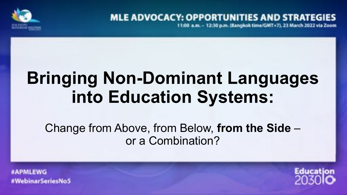

## **MLE ADVOCACY: OPPORTUNITIES AND STRATE**

11:00 a.m. - 12:30 p.m. (Bangkok time/GMT+7), 23 March 2022 via Zoom

# **Bringing Non-Dominant Languages into Education Systems:**

Change from Above, from Below, **from the Side** – or a Combination?

#WebinarSeriesNoS

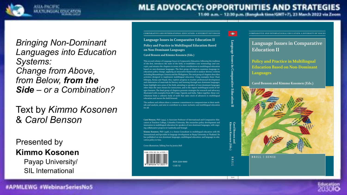

11.00 a.m. - 12.30 p.m. (Bangkok time/GMT+7), 23 March 2022 via Zeom

*Bringing Non-Dominant Languages into Education Systems: Change from Above, from Below, from the Side – or a Combination?* 

Text by *Kimmo Kosonen*  & *Carol Benson*

Presented by **Kimmo Kosonen**

> Payap University/ SIL International

Language Issues in Comparative Education II **Policy and Practice in Multilingual Education Based ƺƹƺƹᅟƺƸƫƹƞƹƿƞƹƨǀƞƨƣƾ COMPARATIVE AND INTERNATIONAL EDUCATION: A DIVERSITY OF VOICES** VOICES **A COMPARATIVE AND INTERNATIONAL EDUCATION: A DIVERSITY OF VOICES** 

**Carol Benson and Kimmo Kosonen (Eds.)** 

This second volume of *Language Issues in Comparative Education*, following the tradition of the first, introduces the state of the field, re-establishes core terminology and concepts, and situates the chapters in terms of their contributions to multilingual education based on non-dominant languages. The first group of chapters examines language-ineducation policy change, applying an innovative framework to analyze diverse contexts including Mozambique, Estonia and the Philippines. The next group of chapters describes activities designed to implement multilingual education. Using examples from Chad, Ethiopia, Kenya and Nepal, they explore progress in teacher professional development and elaboration of materials for literacy and learning through non-dominant languages. Some highlight new areas of the field, attending to speakers of non-dominant languages other than the ones chosen for instruction, and to the urgent multilingual needs of refugee learners. The final group of chapters presents strategies for research and advocacy, illustrated with examples from DR Congo, Uganda and India. Taken together, these contributions form a cohesive body of work that takes stock of advances in multilingual education and moves the field forward

The authors and editors share a common commitment to comparativism in their methods and analysis, and aim to contribute to a more inclusive and multilingual education for all.

**Carol Benson, PhD** (1994), is Associate Professor of International and Comparative Education at Teachers College, Columbia University. She researches policy development and innovation in multilingual education for speakers of non-dominant languages, with ongoing collaborative projects in Cambodia and Senegal.

**Kimmo Kosonen, PhD** (1998), is a Senior Consultant in multilingual education with SIL International and Specialist in language development at Payap University in Thailand. He has published on non-dominant languages, multilingual education, and language-in-education policy in Asia.

Cover illustration: Talking Tree by Jessica Ball



**Carol Benson and<br>Kimmo Kosonen (Eds.)** 

 $\equiv$ 

**Language Issues in Comparative Education II** 

Language Issues in Comparative Education

Spine ኜᇲᇲƸƸኝ

BRII

**Language Issues in Comparative Education II** 

**Policy and Practice in Multilingual Education Based on Non-Dominant** Languages

**Carol Benson and Kimmo Kosonen (Eds.)** 



**BRILL | SENSE** 



#APMLEWG #WebinarSeriesNo5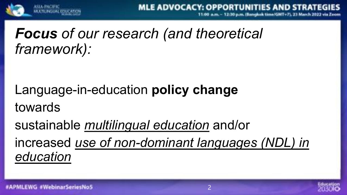

## *Focus of our research (and theoretical framework):*

Language-in-education **policy change**  towards

sustainable *multilingual education* and/or increased *use of non-dominant languages (NDL) in education*

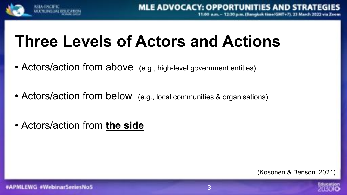

# **Three Levels of Actors and Actions**

- Actors/action from above (e.g., high-level government entities)
- Actors/action from below (e.g., local communities & organisations)
- Actors/action from **the side**

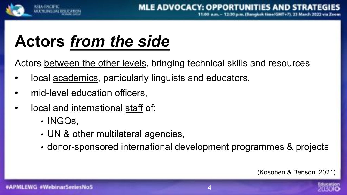

# **Actors** *from the side*

Actors between the other levels, bringing technical skills and resources

- local <u>academics</u>, particularly linguists and educators,
- mid-level education officers,
- local and international staff of:
	- INGOs,
	- UN & other multilateral agencies,
	- donor-sponsored international development programmes & projects

(Kosonen & Benson, 2021)

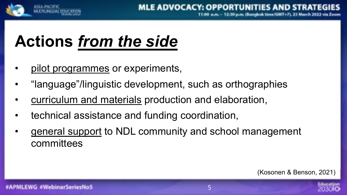

## **Actions** *from the side*

- pilot programmes or experiments,
- "language"/linguistic development, such as orthographies
- curriculum and materials production and elaboration,
- technical assistance and funding coordination,
- general support to NDL community and school management committees

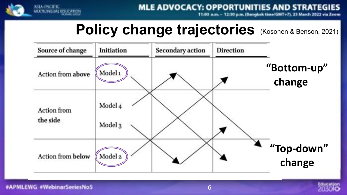

**MLE ADVOCACY: OPPORTUNITIES AND STRATEGIES** 

:30 p.m. (Bangkok time/GMT+7), 23 March 2022 via Zeom

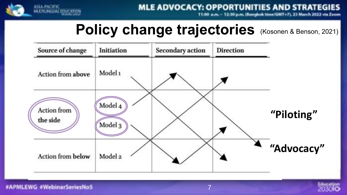

**MLE ADVOCACY: OPPORTUNITIES AND STRATEGIES** 

11.00 a.m. - 12.30 p.m. (Bangkok time/GMT+7), 23 March 2022 via Zeom



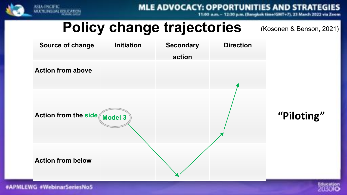

**MLE ADVOCACY: OPPORTUNITIES AND STRAT** 

30 p.m. (Bangkok time/GMT+7), 23 March



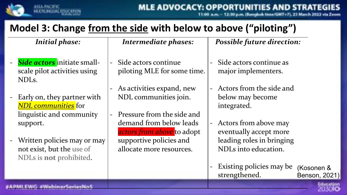

## **Model 3: Change from the side with below to above ("piloting")**

*Initial phase:*

- **Side actors** initiate smallscale pilot activities using NDLs.
- Early on, they partner with *NDL communities* for linguistic and community support.
- Written policies may or may not exist, but the use of NDLs is **not** prohibited.

#### **Intermediate phases:**

- Side actors continue piloting MLE for some time.
- As activities expand, new NDL communities join.
- Pressure from the side and demand from below leads *actors from above* to adopt supportive policies and allocate more resources.

#### *Possible future direction:*

- Side actors continue as major implementers.
- Actors from the side and below may become integrated.
- Actors from above may eventually accept more leading roles in bringing NDLs into education.
- Existing policies may be strengthened. (Kosonen & Benson, 2021)

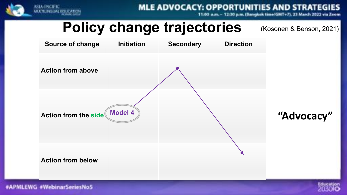![](_page_10_Picture_0.jpeg)

**MLE ADVOCACY: OPPORTUNITIES AND STRAT** 

:30 p.m. (Bangkok time/GMT+7), 23 March 2022 via

![](_page_10_Figure_5.jpeg)

![](_page_10_Picture_7.jpeg)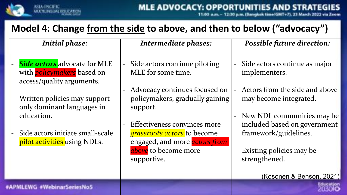![](_page_11_Picture_0.jpeg)

30 p.m. (Bangkok time/GMT+7), 23

## **Model 4: Change from the side to above, and then to below ("advocacy")**

*Initial phase:*

- **Side actors** advocate for MLE with *policymakers* based on access/quality arguments.
- Written policies may support only dominant languages in education.
- Side actors initiate small-scale pilot activities using NDLs.

#### *Intermediate phases:*

- Side actors continue piloting MLE for some time.
- Advocacy continues focused on policymakers, gradually gaining support.
- Effectiveness convinces more *grassroots actors* to become engaged, and more *actors from* above to become more supportive.

*Possible future direction:*

- Side actors continue as major implementers.
- Actors from the side and above may become integrated.
- New NDL communities may be included based on government framework/guidelines.
- Existing policies may be strengthened.
	- (Kosonen & Benson, 2021)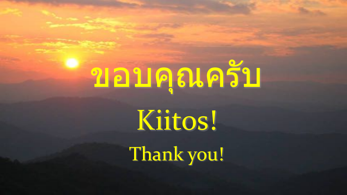# ขอบคุณครับ

Kiitos!

Thank you!